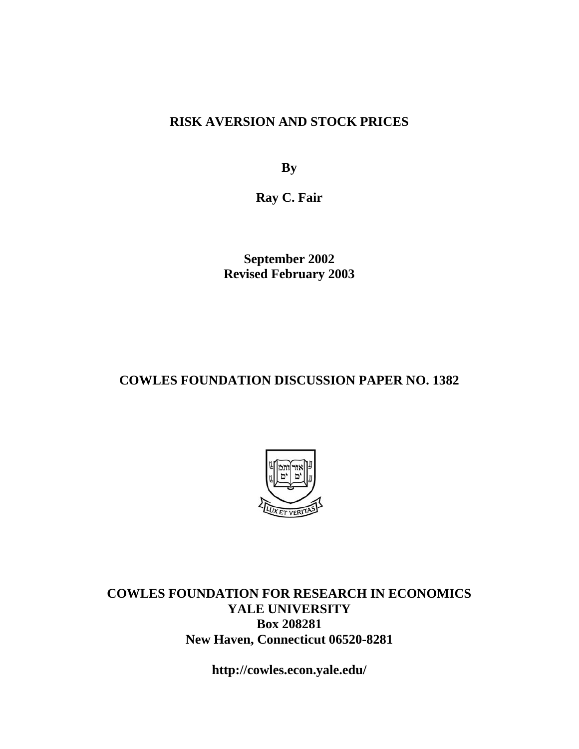## **RISK AVERSION AND STOCK PRICES**

**By** 

**Ray C. Fair** 

**September 2002 Revised February 2003** 

## **COWLES FOUNDATION DISCUSSION PAPER NO. 1382**



**COWLES FOUNDATION FOR RESEARCH IN ECONOMICS YALE UNIVERSITY Box 208281 New Haven, Connecticut 06520-8281** 

**http://cowles.econ.yale.edu/**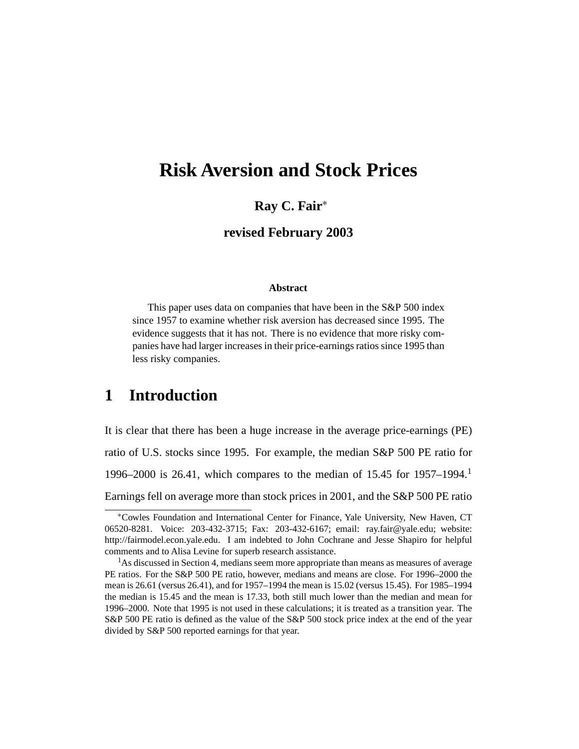# **Risk Aversion and Stock Prices**

### **Ray C. Fair**<sup>∗</sup>

**revised February 2003**

#### **Abstract**

This paper uses data on companies that have been in the S&P 500 index since 1957 to examine whether risk aversion has decreased since 1995. The evidence suggests that it has not. There is no evidence that more risky companies have had larger increases in their price-earnings ratios since 1995 than less risky companies.

## **1 Introduction**

It is clear that there has been a huge increase in the average price-earnings (PE) ratio of U.S. stocks since 1995. For example, the median S&P 500 PE ratio for 1996–2000 is 26.41, which compares to the median of 15.45 for 1957–1994. Earnings fell on average more than stock prices in 2001, and the S&P 500 PE ratio

<sup>∗</sup>Cowles Foundation and International Center for Finance, Yale University, New Haven, CT 06520-8281. Voice: 203-432-3715; Fax: 203-432-6167; email: ray.fair@yale.edu; website: http://fairmodel.econ.yale.edu. I am indebted to John Cochrane and Jesse Shapiro for helpful comments and to Alisa Levine for superb research assistance.

<sup>&</sup>lt;sup>1</sup>As discussed in Section 4, medians seem more appropriate than means as measures of average PE ratios. For the S&P 500 PE ratio, however, medians and means are close. For 1996–2000 the mean is 26.61 (versus 26.41), and for 1957–1994 the mean is 15.02 (versus 15.45). For 1985–1994 the median is 15.45 and the mean is 17.33, both still much lower than the median and mean for 1996–2000. Note that 1995 is not used in these calculations; it is treated as a transition year. The S&P 500 PE ratio is defined as the value of the S&P 500 stock price index at the end of the year divided by S&P 500 reported earnings for that year.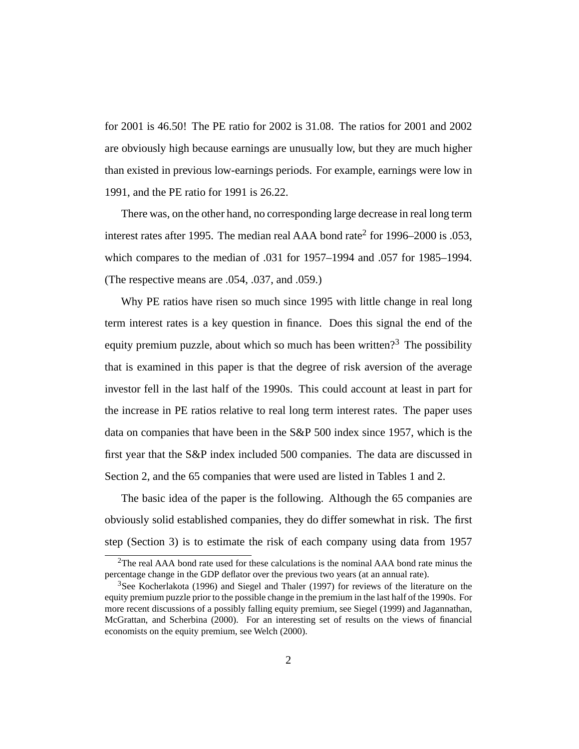for 2001 is 46.50! The PE ratio for 2002 is 31.08. The ratios for 2001 and 2002 are obviously high because earnings are unusually low, but they are much higher than existed in previous low-earnings periods. For example, earnings were low in 1991, and the PE ratio for 1991 is 26.22.

There was, on the other hand, no corresponding large decrease in real long term interest rates after 1995. The median real AAA bond rate<sup>2</sup> for 1996–2000 is .053, which compares to the median of .031 for 1957–1994 and .057 for 1985–1994. (The respective means are .054, .037, and .059.)

Why PE ratios have risen so much since 1995 with little change in real long term interest rates is a key question in finance. Does this signal the end of the equity premium puzzle, about which so much has been written?<sup>3</sup> The possibility that is examined in this paper is that the degree of risk aversion of the average investor fell in the last half of the 1990s. This could account at least in part for the increase in PE ratios relative to real long term interest rates. The paper uses data on companies that have been in the S&P 500 index since 1957, which is the first year that the S&P index included 500 companies. The data are discussed in Section 2, and the 65 companies that were used are listed in Tables 1 and 2.

The basic idea of the paper is the following. Although the 65 companies are obviously solid established companies, they do differ somewhat in risk. The first step (Section 3) is to estimate the risk of each company using data from 1957

 $2$ The real AAA bond rate used for these calculations is the nominal AAA bond rate minus the percentage change in the GDP deflator over the previous two years (at an annual rate).

<sup>&</sup>lt;sup>3</sup>See Kocherlakota (1996) and Siegel and Thaler (1997) for reviews of the literature on the equity premium puzzle prior to the possible change in the premium in the last half of the 1990s. For more recent discussions of a possibly falling equity premium, see Siegel (1999) and Jagannathan, McGrattan, and Scherbina (2000). For an interesting set of results on the views of financial economists on the equity premium, see Welch (2000).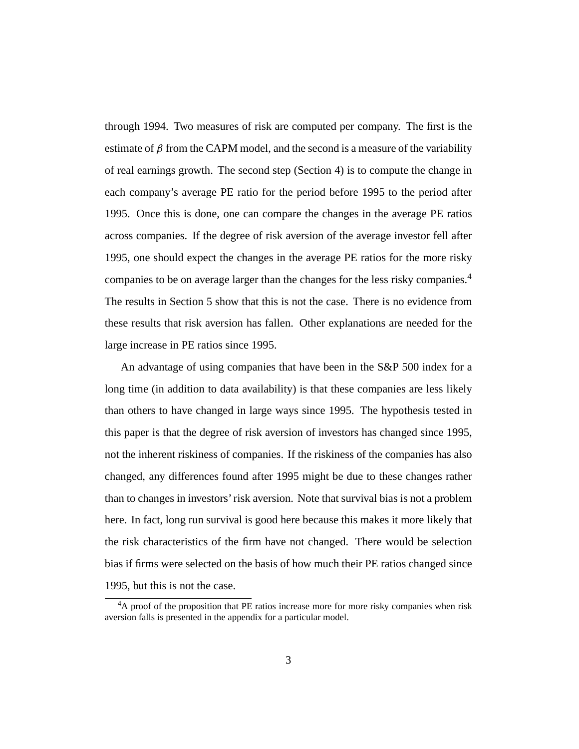through 1994. Two measures of risk are computed per company. The first is the estimate of  $\beta$  from the CAPM model, and the second is a measure of the variability of real earnings growth. The second step (Section 4) is to compute the change in each company's average PE ratio for the period before 1995 to the period after 1995. Once this is done, one can compare the changes in the average PE ratios across companies. If the degree of risk aversion of the average investor fell after 1995, one should expect the changes in the average PE ratios for the more risky companies to be on average larger than the changes for the less risky companies.4 The results in Section 5 show that this is not the case. There is no evidence from these results that risk aversion has fallen. Other explanations are needed for the large increase in PE ratios since 1995.

An advantage of using companies that have been in the S&P 500 index for a long time (in addition to data availability) is that these companies are less likely than others to have changed in large ways since 1995. The hypothesis tested in this paper is that the degree of risk aversion of investors has changed since 1995, not the inherent riskiness of companies. If the riskiness of the companies has also changed, any differences found after 1995 might be due to these changes rather than to changes in investors' risk aversion. Note that survival bias is not a problem here. In fact, long run survival is good here because this makes it more likely that the risk characteristics of the firm have not changed. There would be selection bias if firms were selected on the basis of how much their PE ratios changed since 1995, but this is not the case.

<sup>&</sup>lt;sup>4</sup>A proof of the proposition that PE ratios increase more for more risky companies when risk aversion falls is presented in the appendix for a particular model.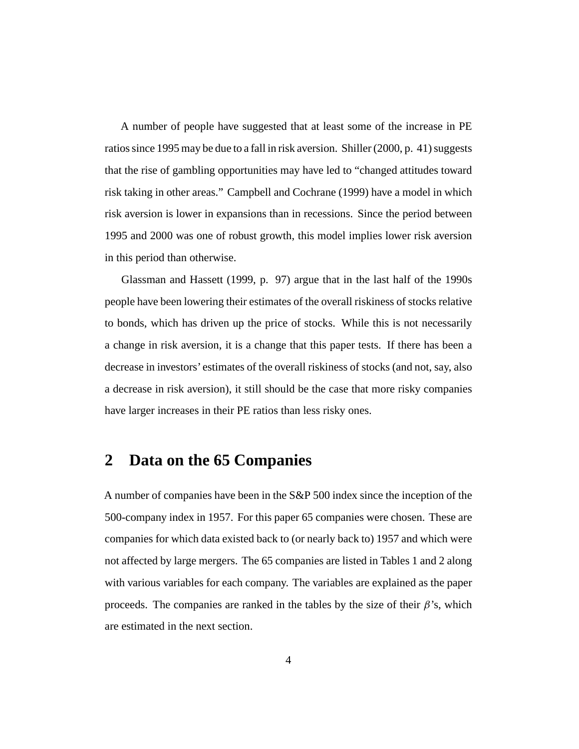A number of people have suggested that at least some of the increase in PE ratios since 1995 may be due to a fall in risk aversion. Shiller (2000, p. 41) suggests that the rise of gambling opportunities may have led to "changed attitudes toward risk taking in other areas." Campbell and Cochrane (1999) have a model in which risk aversion is lower in expansions than in recessions. Since the period between 1995 and 2000 was one of robust growth, this model implies lower risk aversion in this period than otherwise.

Glassman and Hassett (1999, p. 97) argue that in the last half of the 1990s people have been lowering their estimates of the overall riskiness of stocks relative to bonds, which has driven up the price of stocks. While this is not necessarily a change in risk aversion, it is a change that this paper tests. If there has been a decrease in investors' estimates of the overall riskiness of stocks (and not, say, also a decrease in risk aversion), it still should be the case that more risky companies have larger increases in their PE ratios than less risky ones.

## **2 Data on the 65 Companies**

A number of companies have been in the S&P 500 index since the inception of the 500-company index in 1957. For this paper 65 companies were chosen. These are companies for which data existed back to (or nearly back to) 1957 and which were not affected by large mergers. The 65 companies are listed in Tables 1 and 2 along with various variables for each company. The variables are explained as the paper proceeds. The companies are ranked in the tables by the size of their  $\beta$ 's, which are estimated in the next section.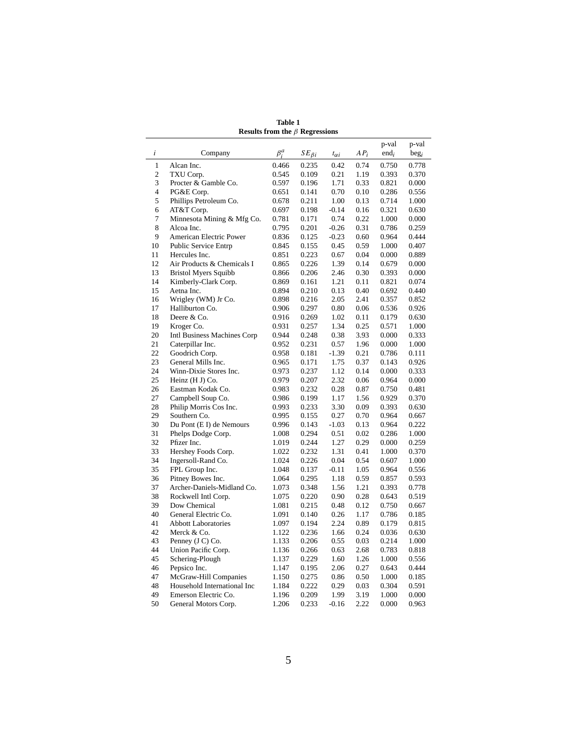| Results from the $\beta$ Regressions |                             |             |                |                |        |         |                  |  |
|--------------------------------------|-----------------------------|-------------|----------------|----------------|--------|---------|------------------|--|
|                                      |                             |             |                |                |        | p-val   | p-val            |  |
| i                                    | Company                     | $\beta_i^a$ | $SE_{\beta i}$ | $t_{\alpha i}$ | $AP_i$ | $end_i$ | beg <sub>i</sub> |  |
| $\mathbf{1}$                         |                             |             |                | 0.42           |        |         |                  |  |
|                                      | Alcan Inc.                  | 0.466       | 0.235          |                | 0.74   | 0.750   | 0.778            |  |
| $\mathfrak{2}$                       | TXU Corp.                   | 0.545       | 0.109          | 0.21           | 1.19   | 0.393   | 0.370            |  |
| 3                                    | Procter & Gamble Co.        | 0.597       | 0.196          | 1.71           | 0.33   | 0.821   | 0.000            |  |
| $\overline{4}$                       | PG&E Corp.                  | 0.651       | 0.141          | 0.70           | 0.10   | 0.286   | 0.556            |  |
| 5                                    | Phillips Petroleum Co.      | 0.678       | 0.211          | 1.00           | 0.13   | 0.714   | 1.000            |  |
| 6                                    | AT&T Corp.                  | 0.697       | 0.198          | $-0.14$        | 0.16   | 0.321   | 0.630            |  |
| 7                                    | Minnesota Mining & Mfg Co.  | 0.781       | 0.171          | 0.74           | 0.22   | 1.000   | 0.000            |  |
| 8                                    | Alcoa Inc.                  | 0.795       | 0.201          | $-0.26$        | 0.31   | 0.786   | 0.259            |  |
| 9                                    | American Electric Power     | 0.836       | 0.125          | $-0.23$        | 0.60   | 0.964   | 0.444            |  |
| 10                                   | <b>Public Service Entrp</b> | 0.845       | 0.155          | 0.45           | 0.59   | 1.000   | 0.407            |  |
| 11                                   | Hercules Inc.               | 0.851       | 0.223          | 0.67           | 0.04   | 0.000   | 0.889            |  |
| 12                                   | Air Products & Chemicals I  | 0.865       | 0.226          | 1.39           | 0.14   | 0.679   | 0.000            |  |
| 13                                   | <b>Bristol Myers Squibb</b> | 0.866       | 0.206          | 2.46           | 0.30   | 0.393   | 0.000            |  |
| 14                                   | Kimberly-Clark Corp.        | 0.869       | 0.161          | 1.21           | 0.11   | 0.821   | 0.074            |  |
| 15                                   | Aetna Inc.                  | 0.894       | 0.210          | 0.13           | 0.40   | 0.692   | 0.440            |  |
| 16                                   | Wrigley (WM) Jr Co.         | 0.898       | 0.216          | 2.05           | 2.41   | 0.357   | 0.852            |  |
| 17                                   | Halliburton Co.             | 0.906       | 0.297          | 0.80           | 0.06   | 0.536   | 0.926            |  |
| 18                                   | Deere & Co.                 | 0.916       | 0.269          | 1.02           | 0.11   | 0.179   | 0.630            |  |
| 19                                   | Kroger Co.                  | 0.931       | 0.257          | 1.34           | 0.25   | 0.571   | 1.000            |  |
| 20                                   | Intl Business Machines Corp | 0.944       | 0.248          | 0.38           | 3.93   | 0.000   | 0.333            |  |
| 21                                   | Caterpillar Inc.            | 0.952       | 0.231          | 0.57           | 1.96   | 0.000   | 1.000            |  |
| 22                                   | Goodrich Corp.              | 0.958       | 0.181          | $-1.39$        | 0.21   | 0.786   | 0.111            |  |
| 23                                   | General Mills Inc.          | 0.965       | 0.171          | 1.75           | 0.37   | 0.143   | 0.926            |  |
| 24                                   | Winn-Dixie Stores Inc.      | 0.973       | 0.237          | 1.12           | 0.14   | 0.000   | 0.333            |  |
| 25                                   | Heinz $(H J) Co.$           | 0.979       | 0.207          | 2.32           | 0.06   | 0.964   | 0.000            |  |
| 26                                   | Eastman Kodak Co.           | 0.983       | 0.232          | 0.28           | 0.87   | 0.750   | 0.481            |  |
| 27                                   | Campbell Soup Co.           | 0.986       | 0.199          | 1.17           | 1.56   | 0.929   | 0.370            |  |
| 28                                   | Philip Morris Cos Inc.      | 0.993       | 0.233          | 3.30           | 0.09   | 0.393   | 0.630            |  |
| 29                                   | Southern Co.                | 0.995       | 0.155          | 0.27           | 0.70   | 0.964   | 0.667            |  |
| 30                                   | Du Pont (E I) de Nemours    | 0.996       | 0.143          | $-1.03$        | 0.13   | 0.964   | 0.222            |  |
| 31                                   | Phelps Dodge Corp.          | 1.008       | 0.294          | 0.51           | 0.02   | 0.286   | 1.000            |  |
| 32                                   | Pfizer Inc.                 | 1.019       | 0.244          | 1.27           | 0.29   | 0.000   | 0.259            |  |
| 33                                   | Hershey Foods Corp.         | 1.022       | 0.232          | 1.31           | 0.41   | 1.000   | 0.370            |  |
| 34                                   | Ingersoll-Rand Co.          | 1.024       | 0.226          | 0.04           | 0.54   | 0.607   | 1.000            |  |
| 35                                   | FPL Group Inc.              | 1.048       | 0.137          | $-0.11$        | 1.05   | 0.964   | 0.556            |  |
| 36                                   | Pitney Bowes Inc.           | 1.064       | 0.295          | 1.18           | 0.59   | 0.857   | 0.593            |  |
| 37                                   | Archer-Daniels-Midland Co.  | 1.073       | 0.348          | 1.56           | 1.21   | 0.393   | 0.778            |  |
| 38                                   | Rockwell Intl Corp.         | 1.075       | 0.220          | 0.90           | 0.28   | 0.643   | 0.519            |  |
| 39                                   | Dow Chemical                | 1.081       | 0.215          | 0.48           | 0.12   | 0.750   | 0.667            |  |
| 40                                   | General Electric Co.        | 1.091       | 0.140          | 0.26           | 1.17   | 0.786   | 0.185            |  |
| 41                                   | <b>Abbott Laboratories</b>  | 1.097       | 0.194          | 2.24           | 0.89   | 0.179   | 0.815            |  |
| 42                                   | Merck & Co.                 | 1.122       | 0.236          | 1.66           | 0.24   | 0.036   | 0.630            |  |
| 43                                   | Penney (J C) Co.            | 1.133       | 0.206          | 0.55           | 0.03   | 0.214   | 1.000            |  |
| 44                                   | Union Pacific Corp.         | 1.136       | 0.266          | 0.63           | 2.68   | 0.783   | 0.818            |  |
| 45                                   | Schering-Plough             | 1.137       | 0.229          | 1.60           | 1.26   | 1.000   | 0.556            |  |
| 46                                   | Pepsico Inc.                | 1.147       | 0.195          | 2.06           | 0.27   | 0.643   | 0.444            |  |
| 47                                   | McGraw-Hill Companies       | 1.150       | 0.275          | 0.86           | 0.50   | 1.000   | 0.185            |  |
| 48                                   | Household International Inc | 1.184       | 0.222          | 0.29           | 0.03   | 0.304   | 0.591            |  |
| 49                                   | Emerson Electric Co.        | 1.196       | 0.209          | 1.99           | 3.19   | 1.000   | 0.000            |  |
| 50                                   | General Motors Corp.        | 1.206       | 0.233          | $-0.16$        | 2.22   | 0.000   | 0.963            |  |

**Table 1 Results from the** β **Regressions**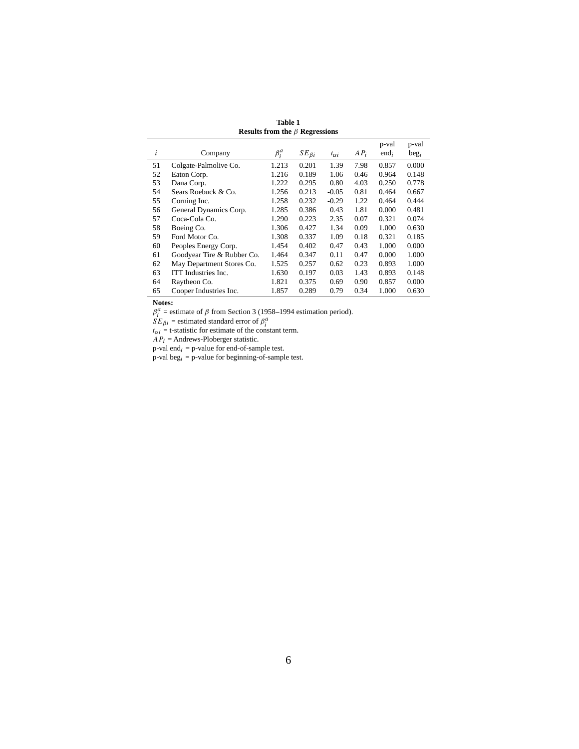| Results from the $\beta$ Regressions |                            |             |                |                |        |                  |                           |  |  |  |  |
|--------------------------------------|----------------------------|-------------|----------------|----------------|--------|------------------|---------------------------|--|--|--|--|
| i                                    | Company                    | $\beta_i^a$ | $SE_{\beta i}$ | $t_{\alpha i}$ | $AP_i$ | p-val<br>$end_i$ | p-val<br>beg <sub>i</sub> |  |  |  |  |
| 51                                   | Colgate-Palmolive Co.      | 1.213       | 0.201          | 1.39           | 7.98   | 0.857            | 0.000                     |  |  |  |  |
| 52                                   | Eaton Corp.                | 1.216       | 0.189          | 1.06           | 0.46   | 0.964            | 0.148                     |  |  |  |  |
| 53                                   | Dana Corp.                 | 1.222       | 0.295          | 0.80           | 4.03   | 0.250            | 0.778                     |  |  |  |  |
| 54                                   | Sears Roebuck & Co.        | 1.256       | 0.213          | $-0.05$        | 0.81   | 0.464            | 0.667                     |  |  |  |  |
| 55                                   | Corning Inc.               | 1.258       | 0.232          | $-0.29$        | 1.22   | 0.464            | 0.444                     |  |  |  |  |
| 56                                   | General Dynamics Corp.     | 1.285       | 0.386          | 0.43           | 1.81   | 0.000            | 0.481                     |  |  |  |  |
| 57                                   | Coca-Cola Co.              | 1.290       | 0.223          | 2.35           | 0.07   | 0.321            | 0.074                     |  |  |  |  |
| 58                                   | Boeing Co.                 | 1.306       | 0.427          | 1.34           | 0.09   | 1.000            | 0.630                     |  |  |  |  |
| 59                                   | Ford Motor Co.             | 1.308       | 0.337          | 1.09           | 0.18   | 0.321            | 0.185                     |  |  |  |  |
| 60                                   | Peoples Energy Corp.       | 1.454       | 0.402          | 0.47           | 0.43   | 1.000            | 0.000                     |  |  |  |  |
| 61                                   | Goodyear Tire & Rubber Co. | 1.464       | 0.347          | 0.11           | 0.47   | 0.000            | 1.000                     |  |  |  |  |
| 62                                   | May Department Stores Co.  | 1.525       | 0.257          | 0.62           | 0.23   | 0.893            | 1.000                     |  |  |  |  |
| 63                                   | ITT Industries Inc.        | 1.630       | 0.197          | 0.03           | 1.43   | 0.893            | 0.148                     |  |  |  |  |
| 64                                   | Raytheon Co.               | 1.821       | 0.375          | 0.69           | 0.90   | 0.857            | 0.000                     |  |  |  |  |
| 65                                   | Cooper Industries Inc.     | 1.857       | 0.289          | 0.79           | 0.34   | 1.000            | 0.630                     |  |  |  |  |

**Table 1 Results from the** β **Regressions**

**Notes:**<br>  $\beta_i^a$  = estimate of *β* from Section 3 (1958–1994 estimation period).<br>  $SE_{\beta i}$  = estimated standard error of  $\beta_i^a$ <br>  $t_{\alpha i}$  = t-statistic for estimate of the constant term.

 $AP_i$  = Andrews-Ploberger statistic.

p-val end<sub>i</sub> = p-value for end-of-sample test.

p-val be $g_i$  = p-value for beginning-of-sample test.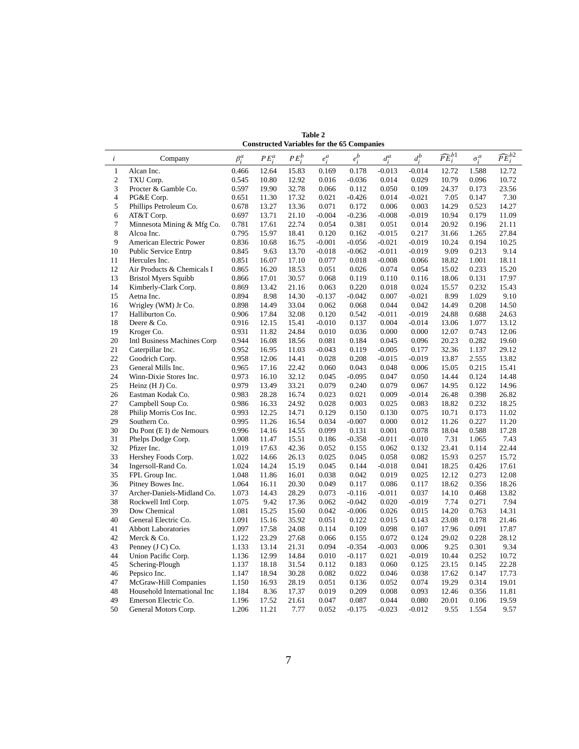|                | <b>Constructed Variables for the 65 Companies</b> |             |          |          |          |          |          |          |                         |              |                       |
|----------------|---------------------------------------------------|-------------|----------|----------|----------|----------|----------|----------|-------------------------|--------------|-----------------------|
| $\dot{i}$      | Company                                           | $\beta_i^a$ | $PE_i^a$ | $PE_i^b$ | $e_i^a$  | $e_i^b$  | $d_i^a$  | $d_i^b$  | $\widehat{PE}_{i}^{b1}$ | $\sigma_i^a$ | $\widehat{PE}_i^{b2}$ |
| $\mathbf{1}$   | Alcan Inc.                                        | 0.466       | 12.64    | 15.83    | 0.169    | 0.178    | $-0.013$ | $-0.014$ | 12.72                   | 1.588        | 12.72                 |
| $\mathfrak{2}$ | TXU Corp.                                         | 0.545       | 10.80    | 12.92    | 0.016    | $-0.036$ | 0.014    | 0.029    | 10.79                   | 0.096        | 10.72                 |
| 3              | Procter & Gamble Co.                              | 0.597       | 19.90    | 32.78    | 0.066    | 0.112    | 0.050    | 0.109    | 24.37                   | 0.173        | 23.56                 |
| $\overline{4}$ | PG&E Corp.                                        | 0.651       | 11.30    | 17.32    | 0.021    | $-0.426$ | 0.014    | $-0.021$ | 7.05                    | 0.147        | 7.30                  |
| 5              | Phillips Petroleum Co.                            | 0.678       | 13.27    | 13.36    | 0.071    | 0.172    | 0.006    | 0.003    | 14.29                   | 0.523        | 14.27                 |
| 6              | AT&T Corp.                                        | 0.697       | 13.71    | 21.10    | $-0.004$ | $-0.236$ | $-0.008$ | $-0.019$ | 10.94                   | 0.179        | 11.09                 |
| $\overline{7}$ | Minnesota Mining & Mfg Co.                        | 0.781       | 17.61    | 22.74    | 0.054    | 0.381    | 0.051    | 0.014    | 20.92                   | 0.196        | 21.11                 |
| 8              | Alcoa Inc.                                        | 0.795       | 15.97    | 18.41    | 0.120    | 0.162    | $-0.015$ | 0.217    | 31.66                   | 1.265        | 27.84                 |
| 9              | American Electric Power                           | 0.836       | 10.68    | 16.75    | $-0.001$ | $-0.056$ | $-0.021$ | $-0.019$ | 10.24                   | 0.194        | 10.25                 |
| 10             | <b>Public Service Entrp</b>                       | 0.845       | 9.63     | 13.70    | $-0.018$ | $-0.062$ | $-0.011$ | $-0.019$ | 9.09                    | 0.213        | 9.14                  |
| 11             | Hercules Inc.                                     | 0.851       | 16.07    | 17.10    | 0.077    | 0.018    | $-0.008$ | 0.066    | 18.82                   | 1.001        | 18.11                 |
| 12             | Air Products & Chemicals I                        | 0.865       | 16.20    | 18.53    | 0.051    | 0.026    | 0.074    | 0.054    | 15.02                   | 0.233        | 15.20                 |
| 13             | <b>Bristol Myers Squibb</b>                       | 0.866       | 17.01    | 30.57    | 0.068    | 0.119    | 0.110    | 0.116    | 18.06                   | 0.131        | 17.97                 |
| 14             | Kimberly-Clark Corp.                              | 0.869       | 13.42    | 21.16    | 0.063    | 0.220    | 0.018    | 0.024    | 15.57                   | 0.232        | 15.43                 |
| 15             | Aetna Inc.                                        | 0.894       | 8.98     | 14.30    | $-0.137$ | $-0.042$ | 0.007    | $-0.021$ | 8.99                    | 1.029        | 9.10                  |
| 16             | Wrigley (WM) Jr Co.                               | 0.898       | 14.49    | 33.04    | 0.062    | 0.068    | 0.044    | 0.042    | 14.49                   | 0.208        | 14.50                 |
| 17             | Halliburton Co.                                   | 0.906       | 17.84    | 32.08    | 0.120    | 0.542    | $-0.011$ | $-0.019$ | 24.88                   | 0.688        | 24.63                 |
| 18             | Deere & Co.                                       | 0.916       | 12.15    | 15.41    | $-0.010$ | 0.137    | 0.004    | $-0.014$ | 13.06                   | 1.077        | 13.12                 |
| 19             | Kroger Co.                                        | 0.931       | 11.82    | 24.84    | 0.010    | 0.036    | 0.000    | 0.000    | 12.07                   | 0.743        | 12.06                 |
| 20             | Intl Business Machines Corp                       | 0.944       | 16.08    | 18.56    | 0.081    | 0.184    | 0.045    | 0.096    | 20.23                   | 0.282        | 19.60                 |
| 21             | Caterpillar Inc.                                  | 0.952       | 16.95    | 11.03    | $-0.043$ | 0.119    | $-0.005$ | 0.177    | 32.36                   | 1.137        | 29.12                 |
| 22             | Goodrich Corp.                                    | 0.958       | 12.06    | 14.41    | 0.028    | 0.208    | $-0.015$ | $-0.019$ | 13.87                   | 2.555        | 13.82                 |
| 23             | General Mills Inc.                                | 0.965       | 17.16    | 22.42    | 0.060    | 0.043    | 0.048    | 0.006    | 15.05                   | 0.215        | 15.41                 |
| 24             | Winn-Dixie Stores Inc.                            | 0.973       | 16.10    | 32.12    | 0.045    | $-0.095$ | 0.047    | 0.050    | 14.44                   | 0.124        | 14.48                 |
| 25             | Heinz (H J) Co.                                   | 0.979       | 13.49    | 33.21    | 0.079    | 0.240    | 0.079    | 0.067    | 14.95                   | 0.122        | 14.96                 |
| 26             | Eastman Kodak Co.                                 | 0.983       | 28.28    | 16.74    | 0.023    | 0.021    | 0.009    | $-0.014$ | 26.48                   | 0.398        | 26.82                 |
| 27             | Campbell Soup Co.                                 | 0.986       | 16.33    | 24.92    | 0.028    | 0.003    | 0.025    | 0.083    | 18.82                   | 0.232        | 18.25                 |
| 28             | Philip Morris Cos Inc.                            | 0.993       | 12.25    | 14.71    | 0.129    | 0.150    | 0.130    | 0.075    | 10.71                   | 0.173        | 11.02                 |
| 29             | Southern Co.                                      | 0.995       | 11.26    | 16.54    | 0.034    | $-0.007$ | 0.000    | 0.012    | 11.26                   | 0.227        | 11.20                 |
| 30             | Du Pont (E I) de Nemours                          | 0.996       | 14.16    | 14.55    | 0.099    | 0.131    | 0.001    | 0.078    | 18.04                   | 0.588        | 17.28                 |
| 31             | Phelps Dodge Corp.                                | 1.008       | 11.47    | 15.51    | 0.186    | $-0.358$ | $-0.011$ | $-0.010$ | 7.31                    | 1.065        | 7.43                  |
| 32             | Pfizer Inc.                                       | 1.019       | 17.63    | 42.36    | 0.052    | 0.155    | 0.062    | 0.132    | 23.41                   | 0.114        | 22.44                 |
| 33             | Hershey Foods Corp.                               | 1.022       | 14.66    | 26.13    | 0.025    | 0.045    | 0.058    | 0.082    | 15.93                   | 0.257        | 15.72                 |
| 34             | Ingersoll-Rand Co.                                | 1.024       | 14.24    | 15.19    | 0.045    | 0.144    | $-0.018$ | 0.041    | 18.25                   | 0.426        | 17.61                 |
| 35             | FPL Group Inc.                                    | 1.048       | 11.86    | 16.01    | 0.038    | 0.042    | 0.019    | 0.025    | 12.12                   | 0.273        | 12.08                 |
| 36             | Pitney Bowes Inc.                                 | 1.064       | 16.11    | 20.30    | 0.049    | 0.117    | 0.086    | 0.117    | 18.62                   | 0.356        | 18.26                 |
| 37             | Archer-Daniels-Midland Co.                        | 1.073       | 14.43    | 28.29    | 0.073    | $-0.116$ | $-0.011$ | 0.037    | 14.10                   | 0.468        | 13.82                 |
| 38             | Rockwell Intl Corp.                               | 1.075       | 9.42     | 17.36    | 0.062    | $-0.042$ | 0.020    | $-0.019$ | 7.74                    | 0.271        | 7.94                  |
| 39             | Dow Chemical                                      | 1.081       | 15.25    | 15.60    | 0.042    | $-0.006$ | 0.026    | 0.015    | 14.20                   | 0.763        | 14.31                 |
| 40             | General Electric Co.                              | 1.091       | 15.16    | 35.92    | 0.051    | 0.122    | 0.015    | 0.143    | 23.08                   | 0.178        | 21.46                 |
| 41             | <b>Abbott Laboratories</b>                        | 1.097       | 17.58    | 24.08    | 0.114    | 0.109    | 0.098    | 0.107    | 17.96                   | 0.091        | 17.87                 |
| 42             | Merck & Co.                                       | 1.122       | 23.29    | 27.68    | 0.066    | 0.155    | 0.072    | 0.124    | 29.02                   | 0.228        | 28.12                 |
| 43             | Penney (J C) Co.                                  | 1.133       | 13.14    | 21.31    | 0.094    | $-0.354$ | $-0.003$ | 0.006    | 9.25                    | 0.301        | 9.34                  |
| 44             | Union Pacific Corp.                               | 1.136       | 12.99    | 14.84    | 0.010    | $-0.117$ | 0.021    | $-0.019$ | 10.44                   | 0.252        | 10.72                 |
| 45             | Schering-Plough                                   | 1.137       | 18.18    | 31.54    | 0.112    | 0.183    | 0.060    | 0.125    | 23.15                   | 0.145        | 22.28                 |
| 46             | Pepsico Inc.                                      | 1.147       | 18.94    | 30.28    | 0.082    | 0.022    | 0.046    | 0.038    | 17.62                   | 0.147        | 17.73                 |
| 47             | McGraw-Hill Companies                             | 1.150       | 16.93    | 28.19    | 0.051    | 0.136    | 0.052    | 0.074    | 19.29                   | 0.314        | 19.01                 |
| 48             | Household International Inc                       | 1.184       | 8.36     | 17.37    | 0.019    | 0.209    | 0.008    | 0.093    | 12.46                   | 0.356        | 11.81                 |
| 49             | Emerson Electric Co.                              | 1.196       | 17.52    | 21.61    | 0.047    | 0.087    | 0.044    | 0.080    | 20.01                   | 0.106        | 19.59                 |
| 50             | General Motors Corp.                              | 1.206       | 11.21    | 7.77     | 0.052    | $-0.175$ | $-0.023$ | $-0.012$ | 9.55                    | 1.554        | 9.57                  |
|                |                                                   |             |          |          |          |          |          |          |                         |              |                       |

**Table 2 Constructed Variables for the 65 Companies**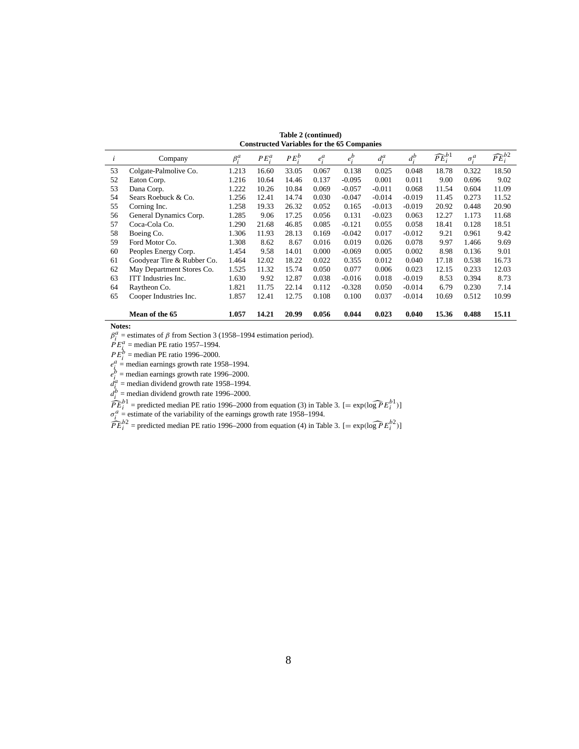| Table 2 (continued)                               |  |
|---------------------------------------------------|--|
| <b>Constructed Variables for the 65 Companies</b> |  |

|    | Constructed variables for the 05 Companies |             |        |        |       |          |          |          |                         |              |                       |
|----|--------------------------------------------|-------------|--------|--------|-------|----------|----------|----------|-------------------------|--------------|-----------------------|
|    | Company                                    | $\beta_i^a$ | $PE^a$ | $PE^b$ | $e^a$ | $e_i^b$  | $d_i^a$  | $d_i^b$  | $\widehat{PE}_{i}^{b1}$ | $\sigma_i^a$ | $\widehat{PE}_i^{b2}$ |
| 53 | Colgate-Palmolive Co.                      | 1.213       | 16.60  | 33.05  | 0.067 | 0.138    | 0.025    | 0.048    | 18.78                   | 0.322        | 18.50                 |
| 52 | Eaton Corp.                                | 1.216       | 10.64  | 14.46  | 0.137 | $-0.095$ | 0.001    | 0.011    | 9.00                    | 0.696        | 9.02                  |
| 53 | Dana Corp.                                 | 1.222       | 10.26  | 10.84  | 0.069 | $-0.057$ | $-0.011$ | 0.068    | 11.54                   | 0.604        | 11.09                 |
| 54 | Sears Roebuck & Co.                        | 1.256       | 12.41  | 14.74  | 0.030 | $-0.047$ | $-0.014$ | $-0.019$ | 11.45                   | 0.273        | 11.52                 |
| 55 | Corning Inc.                               | 1.258       | 19.33  | 26.32  | 0.052 | 0.165    | $-0.013$ | $-0.019$ | 20.92                   | 0.448        | 20.90                 |
| 56 | General Dynamics Corp.                     | 1.285       | 9.06   | 17.25  | 0.056 | 0.131    | $-0.023$ | 0.063    | 12.27                   | 1.173        | 11.68                 |
| 57 | Coca-Cola Co.                              | 1.290       | 21.68  | 46.85  | 0.085 | $-0.121$ | 0.055    | 0.058    | 18.41                   | 0.128        | 18.51                 |
| 58 | Boeing Co.                                 | 1.306       | 11.93  | 28.13  | 0.169 | $-0.042$ | 0.017    | $-0.012$ | 9.21                    | 0.961        | 9.42                  |
| 59 | Ford Motor Co.                             | 1.308       | 8.62   | 8.67   | 0.016 | 0.019    | 0.026    | 0.078    | 9.97                    | 1.466        | 9.69                  |
| 60 | Peoples Energy Corp.                       | 1.454       | 9.58   | 14.01  | 0.000 | $-0.069$ | 0.005    | 0.002    | 8.98                    | 0.136        | 9.01                  |
| 61 | Goodyear Tire & Rubber Co.                 | 1.464       | 12.02  | 18.22  | 0.022 | 0.355    | 0.012    | 0.040    | 17.18                   | 0.538        | 16.73                 |
| 62 | May Department Stores Co.                  | 1.525       | 11.32  | 15.74  | 0.050 | 0.077    | 0.006    | 0.023    | 12.15                   | 0.233        | 12.03                 |
| 63 | ITT Industries Inc.                        | 1.630       | 9.92   | 12.87  | 0.038 | $-0.016$ | 0.018    | $-0.019$ | 8.53                    | 0.394        | 8.73                  |
| 64 | Raytheon Co.                               | 1.821       | 11.75  | 22.14  | 0.112 | $-0.328$ | 0.050    | $-0.014$ | 6.79                    | 0.230        | 7.14                  |
| 65 | Cooper Industries Inc.                     | 1.857       | 12.41  | 12.75  | 0.108 | 0.100    | 0.037    | $-0.014$ | 10.69                   | 0.512        | 10.99                 |
|    |                                            |             |        |        |       |          |          |          |                         |              |                       |
|    | Mean of the 65                             | 1.057       | 14.21  | 20.99  | 0.056 | 0.044    | 0.023    | 0.040    | 15.36                   | 0.488        | 15.11                 |

**Notes:**<br>  $\beta_i^a$  = estimates of  $\beta$  from Section 3 (1958–1994 estimation period).<br>  $PE_i^a$  = median PE ratio 1996–2000.<br>  $PE_i^b$  = median earnings growth rate 1958–1994.<br>  $e_i^b$  = median earnings growth rate 1958–1994.<br>

 $\widehat{PE}_{i}^{b1}$  = predicted median PE ratio 1996–2000 from equation (3) in Table 3. [= exp(log  $\widehat{PE}_{i}^{b1}$ )]  $\sigma_{i}^{a}$  = estimate of the variability of the earnings growth rate 1958–1994.

 $\widehat{PE}_i^{b2}$  = predicted median PE ratio 1996–2000 from equation (4) in Table 3. [= exp(log  $\widehat{PE}_i^{b2}$ )]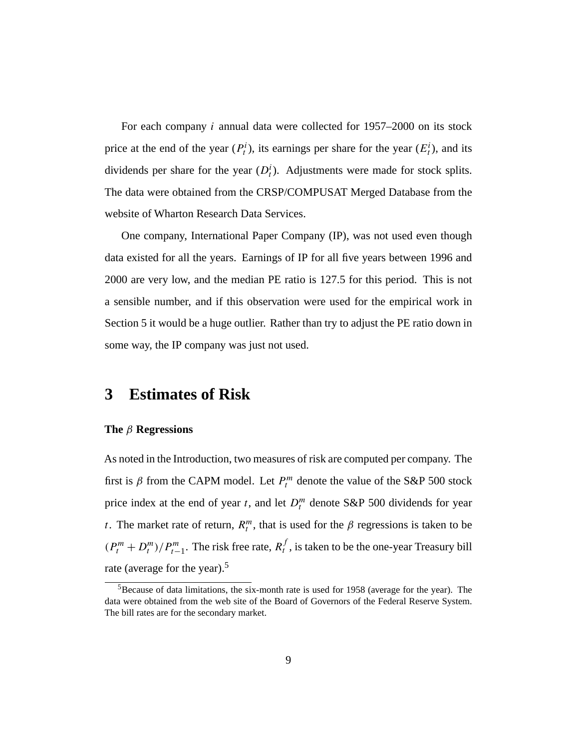For each company i annual data were collected for 1957–2000 on its stock price at the end of the year  $(P_t^i)$ , its earnings per share for the year  $(E_t^i)$ , and its dividends per share for the year  $(D_t^i)$ . Adjustments were made for stock splits. The data were obtained from the CRSP/COMPUSAT Merged Database from the website of Wharton Research Data Services.

One company, International Paper Company (IP), was not used even though data existed for all the years. Earnings of IP for all five years between 1996 and 2000 are very low, and the median PE ratio is 127.5 for this period. This is not a sensible number, and if this observation were used for the empirical work in Section 5 it would be a huge outlier. Rather than try to adjust the PE ratio down in some way, the IP company was just not used.

### **3 Estimates of Risk**

### **The** β **Regressions**

As noted in the Introduction, two measures of risk are computed per company. The first is  $\beta$  from the CAPM model. Let  $P_t^m$  denote the value of the S&P 500 stock price index at the end of year t, and let  $D_t^m$  denote S&P 500 dividends for year t. The market rate of return,  $R_t^m$ , that is used for the  $\beta$  regressions is taken to be  $(P_t^m + D_t^m)/P_{t-1}^m$ . The risk free rate,  $R_t^f$ , is taken to be the one-year Treasury bill rate (average for the year).<sup>5</sup>

 $5B$ ecause of data limitations, the six-month rate is used for 1958 (average for the year). The data were obtained from the web site of the Board of Governors of the Federal Reserve System. The bill rates are for the secondary market.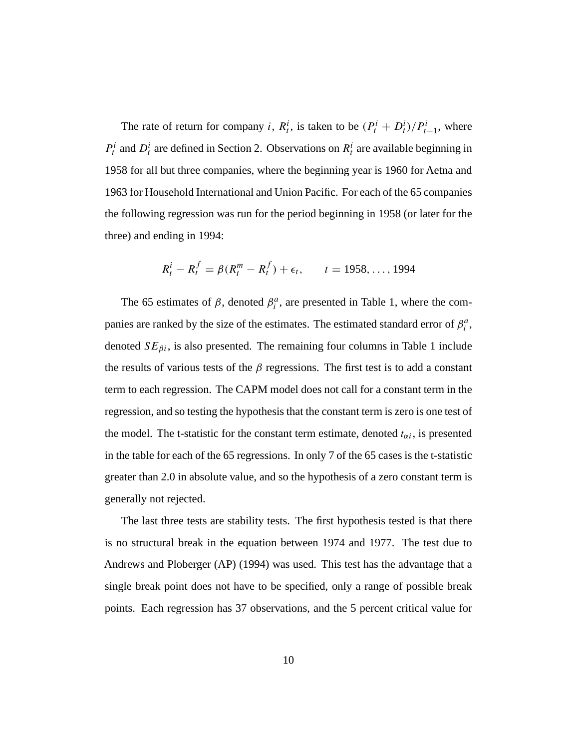The rate of return for company *i*,  $R_t^i$ , is taken to be  $(P_t^i + D_t^i)/P_{t-1}^i$ , where  $P_t^i$  and  $D_t^i$  are defined in Section 2. Observations on  $R_t^i$  are available beginning in 1958 for all but three companies, where the beginning year is 1960 for Aetna and 1963 for Household International and Union Pacific. For each of the 65 companies the following regression was run for the period beginning in 1958 (or later for the three) and ending in 1994:

$$
R_t^i - R_t^f = \beta(R_t^m - R_t^f) + \epsilon_t, \qquad t = 1958, ..., 1994
$$

The 65 estimates of  $\beta$ , denoted  $\beta_i^a$ , are presented in Table 1, where the companies are ranked by the size of the estimates. The estimated standard error of  $\beta_i^a$ , denoted  $SE_{\beta i}$ , is also presented. The remaining four columns in Table 1 include the results of various tests of the  $\beta$  regressions. The first test is to add a constant term to each regression. The CAPM model does not call for a constant term in the regression, and so testing the hypothesis that the constant term is zero is one test of the model. The t-statistic for the constant term estimate, denoted  $t_{\alpha i}$ , is presented in the table for each of the 65 regressions. In only 7 of the 65 cases is the t-statistic greater than 2.0 in absolute value, and so the hypothesis of a zero constant term is generally not rejected.

The last three tests are stability tests. The first hypothesis tested is that there is no structural break in the equation between 1974 and 1977. The test due to Andrews and Ploberger (AP) (1994) was used. This test has the advantage that a single break point does not have to be specified, only a range of possible break points. Each regression has 37 observations, and the 5 percent critical value for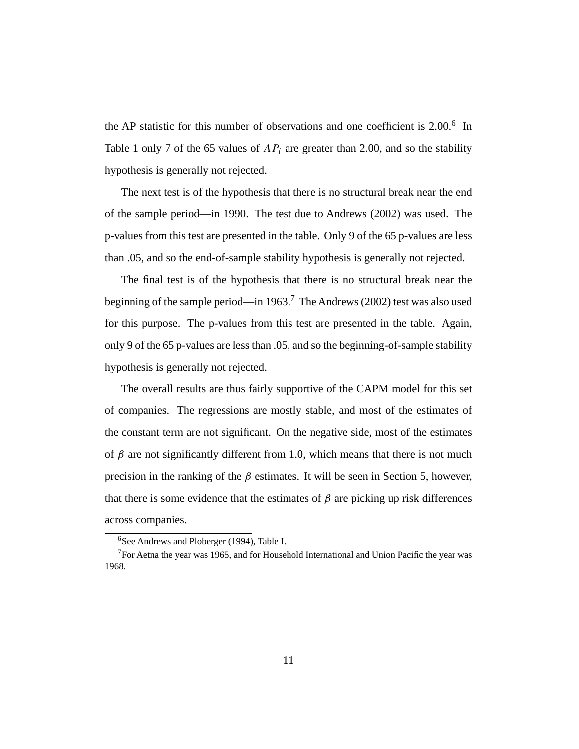the AP statistic for this number of observations and one coefficient is 2.00.<sup>6</sup> In Table 1 only 7 of the 65 values of  $AP_i$  are greater than 2.00, and so the stability hypothesis is generally not rejected.

The next test is of the hypothesis that there is no structural break near the end of the sample period—in 1990. The test due to Andrews (2002) was used. The p-values from this test are presented in the table. Only 9 of the 65 p-values are less than .05, and so the end-of-sample stability hypothesis is generally not rejected.

The final test is of the hypothesis that there is no structural break near the beginning of the sample period—in 1963.7 The Andrews (2002) test was also used for this purpose. The p-values from this test are presented in the table. Again, only 9 of the 65 p-values are less than .05, and so the beginning-of-sample stability hypothesis is generally not rejected.

The overall results are thus fairly supportive of the CAPM model for this set of companies. The regressions are mostly stable, and most of the estimates of the constant term are not significant. On the negative side, most of the estimates of  $\beta$  are not significantly different from 1.0, which means that there is not much precision in the ranking of the  $\beta$  estimates. It will be seen in Section 5, however, that there is some evidence that the estimates of  $\beta$  are picking up risk differences across companies.

<sup>6</sup>See Andrews and Ploberger (1994), Table I.

 $7$ For Aetna the year was 1965, and for Household International and Union Pacific the year was 1968.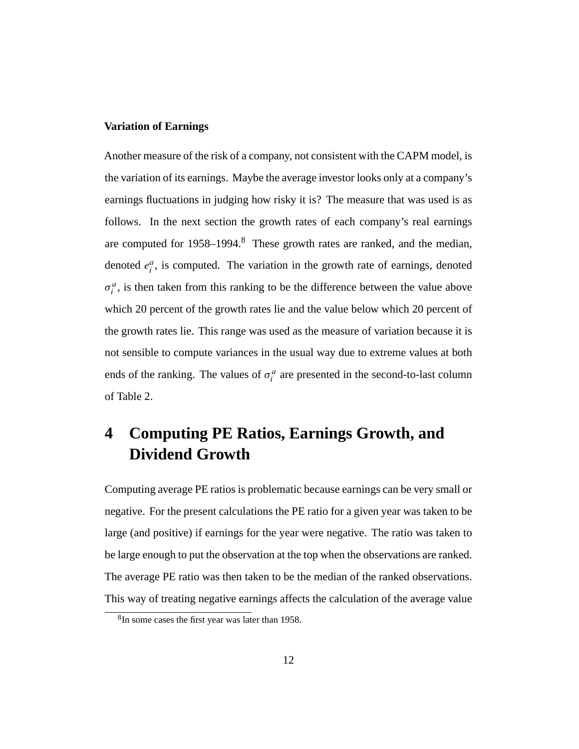### **Variation of Earnings**

Another measure of the risk of a company, not consistent with the CAPM model, is the variation of its earnings. Maybe the average investor looks only at a company's earnings fluctuations in judging how risky it is? The measure that was used is as follows. In the next section the growth rates of each company's real earnings are computed for 1958–1994.8 These growth rates are ranked, and the median, denoted  $e_i^a$ , is computed. The variation in the growth rate of earnings, denoted  $\sigma_i^a$ , is then taken from this ranking to be the difference between the value above which 20 percent of the growth rates lie and the value below which 20 percent of the growth rates lie. This range was used as the measure of variation because it is not sensible to compute variances in the usual way due to extreme values at both ends of the ranking. The values of  $\sigma_i^a$  are presented in the second-to-last column of Table 2.

## **4 Computing PE Ratios, Earnings Growth, and Dividend Growth**

Computing average PE ratios is problematic because earnings can be very small or negative. For the present calculations the PE ratio for a given year was taken to be large (and positive) if earnings for the year were negative. The ratio was taken to be large enough to put the observation at the top when the observations are ranked. The average PE ratio was then taken to be the median of the ranked observations. This way of treating negative earnings affects the calculation of the average value

<sup>&</sup>lt;sup>8</sup>In some cases the first year was later than 1958.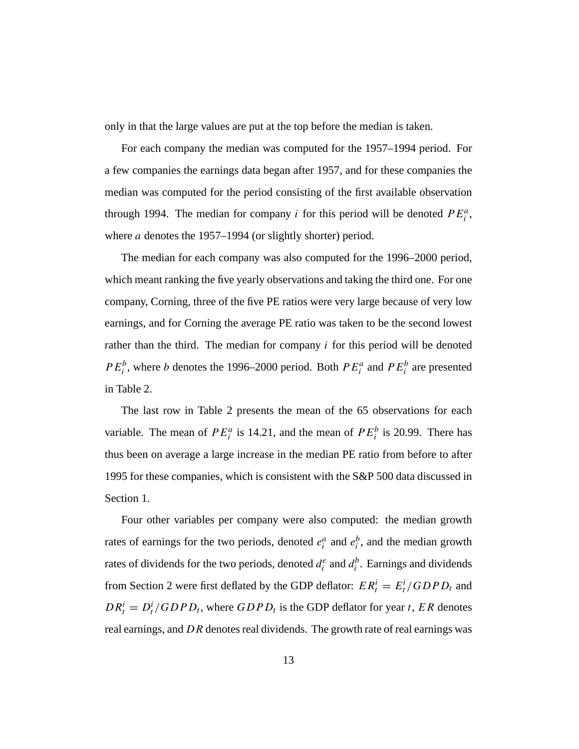only in that the large values are put at the top before the median is taken.

For each company the median was computed for the 1957–1994 period. For a few companies the earnings data began after 1957, and for these companies the median was computed for the period consisting of the first available observation through 1994. The median for company *i* for this period will be denoted  $PE_i^a$ , where *a* denotes the 1957–1994 (or slightly shorter) period.

The median for each company was also computed for the 1996–2000 period, which meant ranking the five yearly observations and taking the third one. For one company, Corning, three of the five PE ratios were very large because of very low earnings, and for Corning the average PE ratio was taken to be the second lowest rather than the third. The median for company  $i$  for this period will be denoted  $PE_i^b$ , where *b* denotes the 1996–2000 period. Both  $PE_i^a$  and  $PE_i^b$  are presented in Table 2.

The last row in Table 2 presents the mean of the 65 observations for each variable. The mean of  $PE_i^a$  is 14.21, and the mean of  $PE_i^b$  is 20.99. There has thus been on average a large increase in the median PE ratio from before to after 1995 for these companies, which is consistent with the S&P 500 data discussed in Section 1.

Four other variables per company were also computed: the median growth rates of earnings for the two periods, denoted  $e_i^a$  and  $e_i^b$ , and the median growth rates of dividends for the two periods, denoted  $d_i^e$  and  $d_i^b$ . Earnings and dividends from Section 2 were first deflated by the GDP deflator:  $ER_t^i = E_t^i / GDP_t$  and  $DR_t^i = D_t^i / GDP_t$ , where  $GDP_t$  is the GDP deflator for year t, ER denotes real earnings, and DR denotes real dividends. The growth rate of real earnings was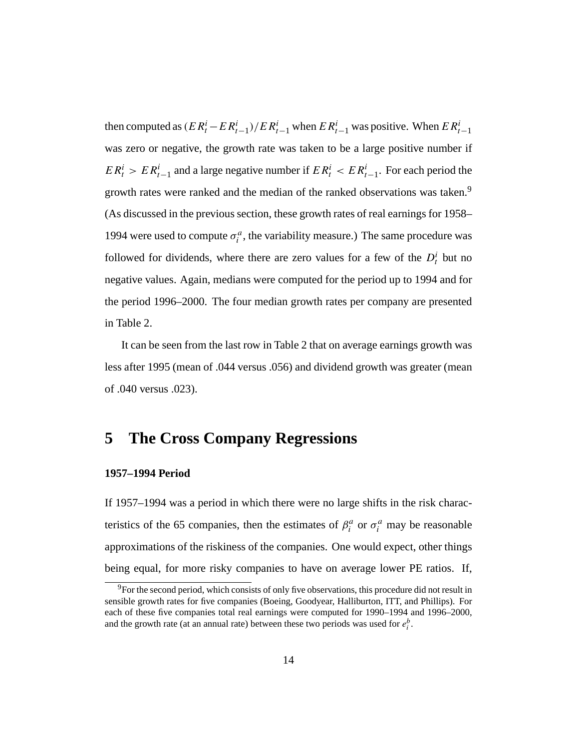then computed as  $(ER_t^i - ER_{t-1}^i)/ER_{t-1}^i$  when  $ER_{t-1}^i$  was positive. When  $ER_{t-1}^i$ was zero or negative, the growth rate was taken to be a large positive number if  $ER_t^i > ER_{t-1}^i$  and a large negative number if  $ER_t^i < ER_{t-1}^i$ . For each period the growth rates were ranked and the median of the ranked observations was taken.<sup>9</sup> (As discussed in the previous section, these growth rates of real earnings for 1958– 1994 were used to compute  $\sigma_i^a$ , the variability measure.) The same procedure was followed for dividends, where there are zero values for a few of the  $D_t^i$  but no negative values. Again, medians were computed for the period up to 1994 and for the period 1996–2000. The four median growth rates per company are presented in Table 2.

It can be seen from the last row in Table 2 that on average earnings growth was less after 1995 (mean of .044 versus .056) and dividend growth was greater (mean of .040 versus .023).

## **5 The Cross Company Regressions**

### **1957–1994 Period**

If 1957–1994 was a period in which there were no large shifts in the risk characteristics of the 65 companies, then the estimates of  $\beta_i^a$  or  $\sigma_i^a$  may be reasonable approximations of the riskiness of the companies. One would expect, other things being equal, for more risky companies to have on average lower PE ratios. If,

 $9^9$ For the second period, which consists of only five observations, this procedure did not result in sensible growth rates for five companies (Boeing, Goodyear, Halliburton, ITT, and Phillips). For each of these five companies total real earnings were computed for 1990–1994 and 1996–2000, and the growth rate (at an annual rate) between these two periods was used for  $e_i^b$ .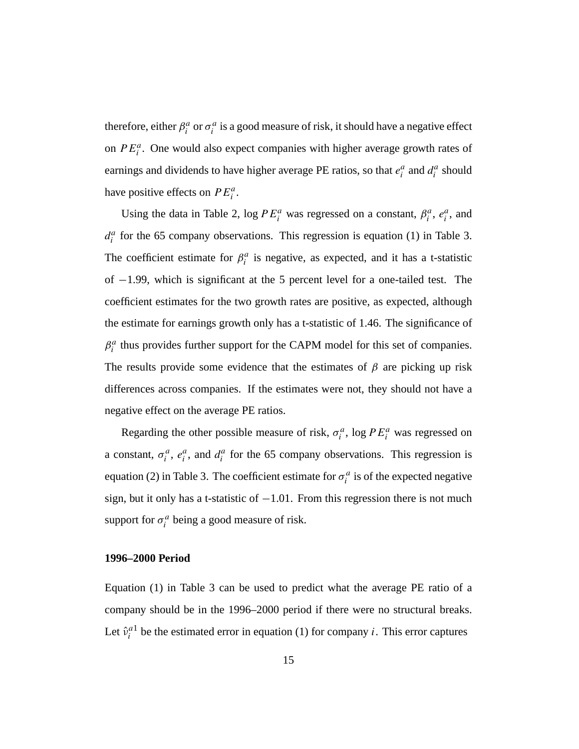therefore, either  $\beta_i^a$  or  $\sigma_i^a$  is a good measure of risk, it should have a negative effect on  $PE_i^a$ . One would also expect companies with higher average growth rates of earnings and dividends to have higher average PE ratios, so that  $e_i^a$  and  $d_i^a$  should have positive effects on  $PE_i^a$ .

Using the data in Table 2, log  $PE_i^a$  was regressed on a constant,  $\beta_i^a$ ,  $e_i^a$ , and  $d_i^a$  for the 65 company observations. This regression is equation (1) in Table 3. The coefficient estimate for  $\beta_i^a$  is negative, as expected, and it has a t-statistic of −1.99, which is significant at the 5 percent level for a one-tailed test. The coefficient estimates for the two growth rates are positive, as expected, although the estimate for earnings growth only has a t-statistic of 1.46. The significance of  $\beta_i^a$  thus provides further support for the CAPM model for this set of companies. The results provide some evidence that the estimates of  $\beta$  are picking up risk differences across companies. If the estimates were not, they should not have a negative effect on the average PE ratios.

Regarding the other possible measure of risk,  $\sigma_i^a$ , log  $PE_i^a$  was regressed on a constant,  $\sigma_i^a$ ,  $e_i^a$ , and  $d_i^a$  for the 65 company observations. This regression is equation (2) in Table 3. The coefficient estimate for  $\sigma_i^a$  is of the expected negative sign, but it only has a t-statistic of  $-1.01$ . From this regression there is not much support for  $\sigma_i^a$  being a good measure of risk.

### **1996–2000 Period**

Equation (1) in Table 3 can be used to predict what the average PE ratio of a company should be in the 1996–2000 period if there were no structural breaks. Let  $\hat{v}_i^{a_1}$  be the estimated error in equation (1) for company *i*. This error captures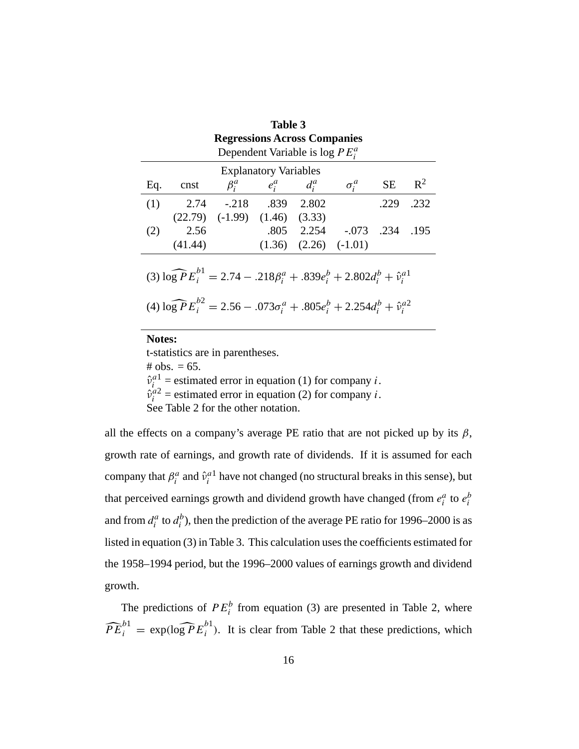| Table 3                                                                                  |                                                                  |                                       |                         |                             |                            |      |      |  |  |  |  |
|------------------------------------------------------------------------------------------|------------------------------------------------------------------|---------------------------------------|-------------------------|-----------------------------|----------------------------|------|------|--|--|--|--|
| <b>Regressions Across Companies</b>                                                      |                                                                  |                                       |                         |                             |                            |      |      |  |  |  |  |
| Dependent Variable is $\log PE_i^a$                                                      |                                                                  |                                       |                         |                             |                            |      |      |  |  |  |  |
|                                                                                          | <b>Explanatory Variables</b>                                     |                                       |                         |                             |                            |      |      |  |  |  |  |
| Eq.                                                                                      | $\sigma_i^a$<br><b>SE</b><br>$\beta_i^a$ $e_i^a$ $d_i^a$<br>cnst |                                       |                         |                             |                            |      |      |  |  |  |  |
| (1)                                                                                      | 2.74                                                             |                                       | $-.218$ $.839$ $.2.802$ |                             |                            | .229 | .232 |  |  |  |  |
|                                                                                          |                                                                  | $(22.79)$ $(-1.99)$ $(1.46)$ $(3.33)$ |                         |                             |                            |      |      |  |  |  |  |
| (2)                                                                                      | 2.56                                                             |                                       |                         |                             | .805 2.254 -.073 .234 .195 |      |      |  |  |  |  |
|                                                                                          | (41.44)                                                          |                                       |                         | $(1.36)$ $(2.26)$ $(-1.01)$ |                            |      |      |  |  |  |  |
|                                                                                          |                                                                  |                                       |                         |                             |                            |      |      |  |  |  |  |
| (3) $\log P E_i^{b_1} = 2.74 - .218\beta_i^a + .839e_i^b + 2.802d_i^b + \hat{v}_i^{a_1}$ |                                                                  |                                       |                         |                             |                            |      |      |  |  |  |  |
| (4) $\log P E_i^{b2} = 2.56 - .073\sigma_i^a + .805e_i^b + 2.254d_i^b + \hat{v}_i^{a2}$  |                                                                  |                                       |                         |                             |                            |      |      |  |  |  |  |
|                                                                                          |                                                                  |                                       |                         |                             |                            |      |      |  |  |  |  |
|                                                                                          |                                                                  |                                       |                         |                             |                            |      |      |  |  |  |  |

#### **Notes:**

t-statistics are in parentheses. # obs.  $= 65$ .  $\hat{v}_i^{a_1}$  = estimated error in equation (1) for company *i*.  $\hat{v}_i^{a2}$  = estimated error in equation (2) for company *i*. See Table 2 for the other notation.

all the effects on a company's average PE ratio that are not picked up by its  $\beta$ , growth rate of earnings, and growth rate of dividends. If it is assumed for each company that  $\beta_i^a$  and  $\hat{v}_i^{a_1}$  have not changed (no structural breaks in this sense), but that perceived earnings growth and dividend growth have changed (from  $e_i^a$  to  $e_i^b$ and from  $d_i^a$  to  $d_i^b$ ), then the prediction of the average PE ratio for 1996–2000 is as listed in equation (3) in Table 3. This calculation uses the coefficients estimated for the 1958–1994 period, but the 1996–2000 values of earnings growth and dividend growth.

The predictions of  $PE_i^b$  from equation (3) are presented in Table 2, where  $\widehat{PE}_i^{b1} = \exp(\log P E_i^{b1})$ . It is clear from Table 2 that these predictions, which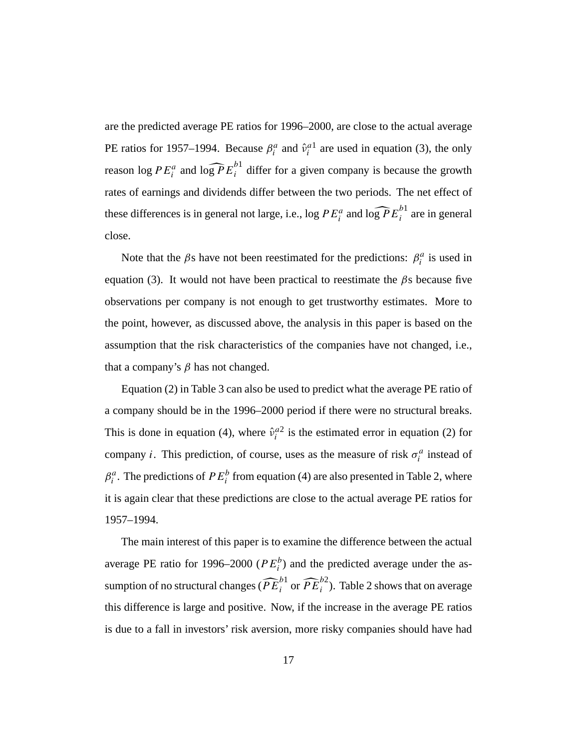are the predicted average PE ratios for 1996–2000, are close to the actual average PE ratios for 1957–1994. Because  $\beta_i^a$  and  $\hat{v}_i^{a_1}$  are used in equation (3), the only reason log  $PE_i^a$  and log  $\widehat{PE}_i^{b1}$  differ for a given company is because the growth rates of earnings and dividends differ between the two periods. The net effect of these differences is in general not large, i.e.,  $\log PE_i^a$  and  $\widehat{\log PE}_i^{b1}$  are in general close.

Note that the  $\beta$ s have not been reestimated for the predictions:  $\beta_i^a$  is used in equation (3). It would not have been practical to reestimate the  $\beta$ s because five observations per company is not enough to get trustworthy estimates. More to the point, however, as discussed above, the analysis in this paper is based on the assumption that the risk characteristics of the companies have not changed, i.e., that a company's  $β$  has not changed.

Equation (2) in Table 3 can also be used to predict what the average PE ratio of a company should be in the 1996–2000 period if there were no structural breaks. This is done in equation (4), where  $\hat{v}_i^{a2}$  is the estimated error in equation (2) for company *i*. This prediction, of course, uses as the measure of risk  $\sigma_i^a$  instead of  $\beta_i^a$ . The predictions of  $PE_i^b$  from equation (4) are also presented in Table 2, where it is again clear that these predictions are close to the actual average PE ratios for 1957–1994.

The main interest of this paper is to examine the difference between the actual average PE ratio for 1996–2000 ( $PE_i^b$ ) and the predicted average under the assumption of no structural changes  $(\widehat{PE}_{i}^{b1} \text{ or } \widehat{PE}_{i}^{b2})$ . Table 2 shows that on average this difference is large and positive. Now, if the increase in the average PE ratios is due to a fall in investors' risk aversion, more risky companies should have had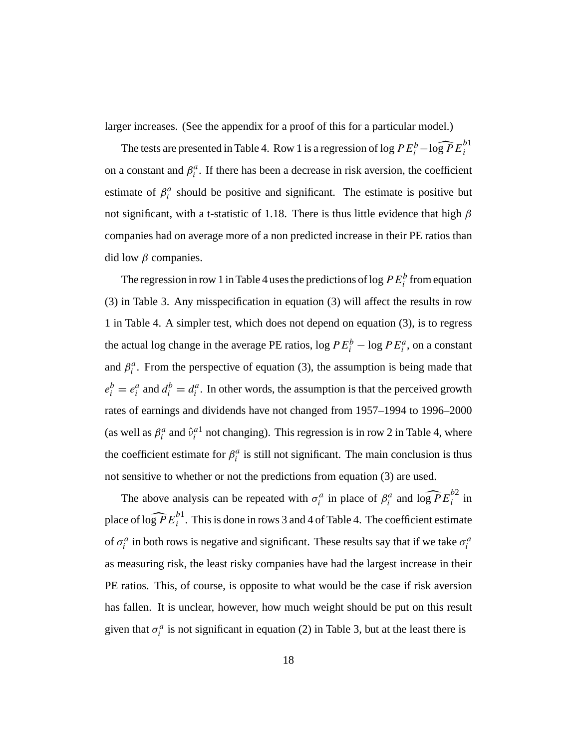larger increases. (See the appendix for a proof of this for a particular model.)

The tests are presented in Table 4. Row 1 is a regression of log  $PE_i^b - \log PE_i^{b1}$ on a constant and  $\beta_i^a$ . If there has been a decrease in risk aversion, the coefficient estimate of  $\beta_i^a$  should be positive and significant. The estimate is positive but not significant, with a t-statistic of 1.18. There is thus little evidence that high  $\beta$ companies had on average more of a non predicted increase in their PE ratios than did low  $β$  companies.

The regression in row 1 in Table 4 uses the predictions of log  $PE_i^b$  from equation (3) in Table 3. Any misspecification in equation (3) will affect the results in row 1 in Table 4. A simpler test, which does not depend on equation (3), is to regress the actual log change in the average PE ratios,  $\log PE_i^b - \log PE_i^a$ , on a constant and  $\beta_i^a$ . From the perspective of equation (3), the assumption is being made that  $e_i^b = e_i^a$  and  $d_i^b = d_i^a$ . In other words, the assumption is that the perceived growth rates of earnings and dividends have not changed from 1957–1994 to 1996–2000 (as well as  $\beta_i^a$  and  $\hat{v}_i^{a_1}$  not changing). This regression is in row 2 in Table 4, where the coefficient estimate for  $\beta_i^a$  is still not significant. The main conclusion is thus not sensitive to whether or not the predictions from equation (3) are used.

The above analysis can be repeated with  $\sigma_i^a$  in place of  $\beta_i^a$  and  $\log P E_i^{b2}$  in place of  $\widehat{\log P} E^{b1}_i$ . This is done in rows 3 and 4 of Table 4. The coefficient estimate of  $\sigma_i^a$  in both rows is negative and significant. These results say that if we take  $\sigma_i^a$ as measuring risk, the least risky companies have had the largest increase in their PE ratios. This, of course, is opposite to what would be the case if risk aversion has fallen. It is unclear, however, how much weight should be put on this result given that  $\sigma_i^a$  is not significant in equation (2) in Table 3, but at the least there is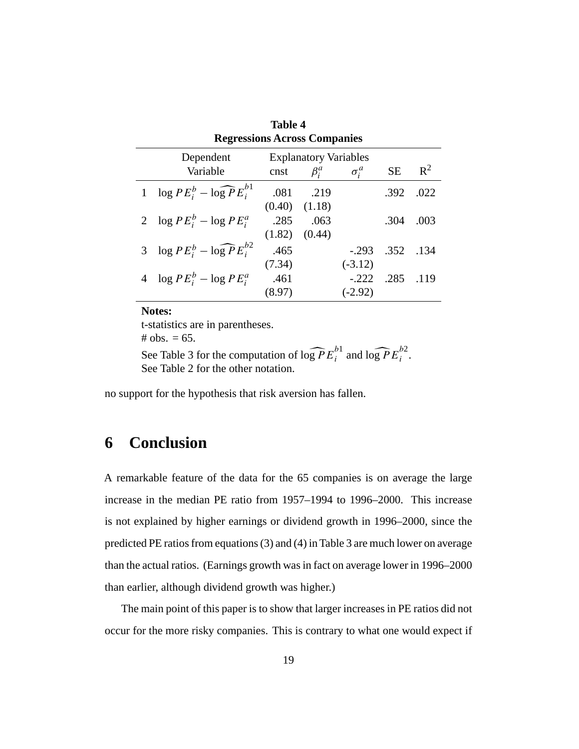|                                     | Table 4                                                                                             |        |                   |           |            |       |  |  |  |  |  |
|-------------------------------------|-----------------------------------------------------------------------------------------------------|--------|-------------------|-----------|------------|-------|--|--|--|--|--|
| <b>Regressions Across Companies</b> |                                                                                                     |        |                   |           |            |       |  |  |  |  |  |
|                                     | Dependent<br><b>Explanatory Variables</b><br><b>SE</b><br>Variable<br>cnst $\beta_i^a$ $\sigma_i^a$ |        |                   |           |            |       |  |  |  |  |  |
|                                     |                                                                                                     |        |                   |           |            | $R^2$ |  |  |  |  |  |
|                                     | 1 $\log PE_i^b - \log PE_i^{b1}$                                                                    |        | .081 .219         |           | .392       | .022  |  |  |  |  |  |
|                                     |                                                                                                     |        | $(0.40)$ $(1.18)$ |           |            |       |  |  |  |  |  |
|                                     | 2 $\log PE_i^b - \log PE_i^a$                                                                       | .285   | .063              |           | .304       | .003  |  |  |  |  |  |
|                                     |                                                                                                     | (1.82) | (0.44)            |           |            |       |  |  |  |  |  |
|                                     | 3 $\log PE_i^b - \log PE_i^{b2}$                                                                    | .465   |                   | $-293$    | .352. .134 |       |  |  |  |  |  |
|                                     |                                                                                                     | (7.34) |                   | $(-3.12)$ |            |       |  |  |  |  |  |
|                                     | 4 $\log PE_i^b - \log PE_i^a$                                                                       | .461   |                   | $-222$    | .285       | .119  |  |  |  |  |  |
|                                     |                                                                                                     | (8.97) |                   | $(-2.92)$ |            |       |  |  |  |  |  |

### **Notes:**

t-statistics are in parentheses. # obs.  $= 65$ .

See Table 3 for the computation of  $\log P E_i^{b1}$  and  $\log P E_i^{b2}$ . See Table 2 for the other notation.

no support for the hypothesis that risk aversion has fallen.

## **6 Conclusion**

A remarkable feature of the data for the 65 companies is on average the large increase in the median PE ratio from 1957–1994 to 1996–2000. This increase is not explained by higher earnings or dividend growth in 1996–2000, since the predicted PE ratios from equations (3) and (4) in Table 3 are much lower on average than the actual ratios. (Earnings growth was in fact on average lower in 1996–2000 than earlier, although dividend growth was higher.)

The main point of this paper is to show that larger increases in PE ratios did not occur for the more risky companies. This is contrary to what one would expect if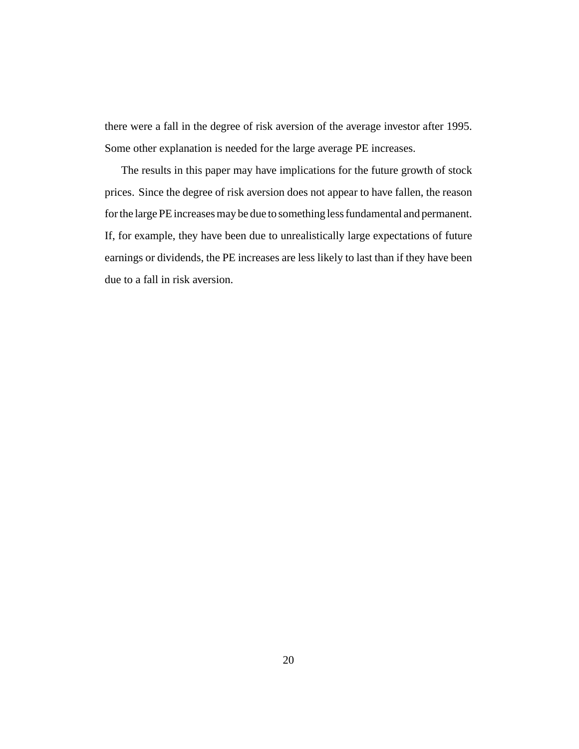there were a fall in the degree of risk aversion of the average investor after 1995. Some other explanation is needed for the large average PE increases.

The results in this paper may have implications for the future growth of stock prices. Since the degree of risk aversion does not appear to have fallen, the reason for the large PE increases may be due to something less fundamental and permanent. If, for example, they have been due to unrealistically large expectations of future earnings or dividends, the PE increases are less likely to last than if they have been due to a fall in risk aversion.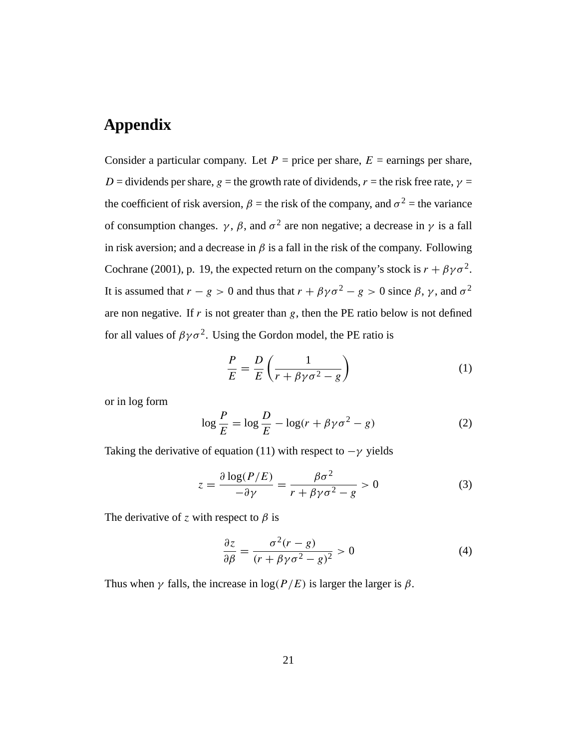## **Appendix**

Consider a particular company. Let  $P =$  price per share,  $E =$  earnings per share, D = dividends per share, g = the growth rate of dividends, r = the risk free rate,  $\gamma$  = the coefficient of risk aversion,  $\beta$  = the risk of the company, and  $\sigma^2$  = the variance of consumption changes.  $\gamma$ ,  $\beta$ , and  $\sigma^2$  are non negative; a decrease in  $\gamma$  is a fall in risk aversion; and a decrease in  $\beta$  is a fall in the risk of the company. Following Cochrane (2001), p. 19, the expected return on the company's stock is  $r + \beta \gamma \sigma^2$ . It is assumed that  $r - g > 0$  and thus that  $r + \beta \gamma \sigma^2 - g > 0$  since  $\beta$ ,  $\gamma$ , and  $\sigma^2$ are non negative. If  $r$  is not greater than  $g$ , then the PE ratio below is not defined for all values of  $\beta \gamma \sigma^2$ . Using the Gordon model, the PE ratio is

$$
\frac{P}{E} = \frac{D}{E} \left( \frac{1}{r + \beta \gamma \sigma^2 - g} \right)
$$
 (1)

or in log form

$$
\log\frac{P}{E} = \log\frac{D}{E} - \log(r + \beta\gamma\sigma^2 - g)
$$
 (2)

Taking the derivative of equation (11) with respect to  $-\gamma$  yields

$$
z = \frac{\partial \log(P/E)}{-\partial \gamma} = \frac{\beta \sigma^2}{r + \beta \gamma \sigma^2 - g} > 0
$$
 (3)

The derivative of z with respect to  $\beta$  is

$$
\frac{\partial z}{\partial \beta} = \frac{\sigma^2 (r - g)}{(r + \beta \gamma \sigma^2 - g)^2} > 0
$$
\n(4)

Thus when  $\gamma$  falls, the increase in log( $P/E$ ) is larger the larger is  $\beta$ .